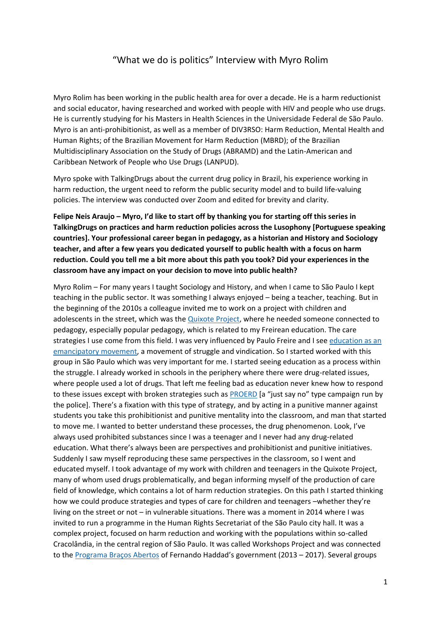## "What we do is politics" Interview with Myro Rolim

Myro Rolim has been working in the public health area for over a decade. He is a harm reductionist and social educator, having researched and worked with people with HIV and people who use drugs. He is currently studying for his Masters in Health Sciences in the Universidade Federal de São Paulo. Myro is an anti-prohibitionist, as well as a member of DIV3RSO: Harm Reduction, Mental Health and Human Rights; of the Brazilian Movement for Harm Reduction (MBRD); of the Brazilian Multidisciplinary Association on the Study of Drugs (ABRAMD) and the Latin-American and Caribbean Network of People who Use Drugs (LANPUD).

Myro spoke with TalkingDrugs about the current drug policy in Brazil, his experience working in harm reduction, the urgent need to reform the public security model and to build life-valuing policies. The interview was conducted over Zoom and edited for brevity and clarity.

**Felipe Neis Araujo – Myro, I'd like to start off by thanking you for starting off this series in TalkingDrugs on practices and harm reduction policies across the Lusophony [Portuguese speaking countries]. Your professional career began in pedagogy, as a historian and History and Sociology teacher, and after a few years you dedicated yourself to public health with a focus on harm reduction. Could you tell me a bit more about this path you took? Did your experiences in the classroom have any impact on your decision to move into public health?**

Myro Rolim – For many years I taught Sociology and History, and when I came to São Paulo I kept teaching in the public sector. It was something I always enjoyed – being a teacher, teaching. But in the beginning of the 2010s a colleague invited me to work on a project with children and adolescents in the street, which was the [Quixote Project,](https://www.projetoquixote.org.br/) where he needed someone connected to pedagogy, especially popular pedagogy, which is related to my Freirean education. The care strategies I use come from this field. I was very influenced by Paulo Freire and I see education as an [emancipatory movement,](https://cpers.com.br/wp-content/uploads/2019/10/Pedagogia-do-Oprimido-Paulo-Freire.pdf) a movement of struggle and vindication. So I started worked with this group in São Paulo which was very important for me. I started seeing education as a process within the struggle. I already worked in schools in the periphery where there were drug-related issues, where people used a lot of drugs. That left me feeling bad as education never knew how to respond to these issues except with broken strategies such as [PROERD](https://www.proerdbrasil.com.br/oproerd/oprograma.htm) [a "just say no" type campaign run by the police]. There's a fixation with this type of strategy, and by acting in a punitive manner against students you take this prohibitionist and punitive mentality into the classroom, and man that started to move me. I wanted to better understand these processes, the drug phenomenon. Look, I've always used prohibited substances since I was a teenager and I never had any drug-related education. What there's always been are perspectives and prohibitionist and punitive initiatives. Suddenly I saw myself reproducing these same perspectives in the classroom, so I went and educated myself. I took advantage of my work with children and teenagers in the Quixote Project, many of whom used drugs problematically, and began informing myself of the production of care field of knowledge, which contains a lot of harm reduction strategies. On this path I started thinking how we could produce strategies and types of care for children and teenagers –whether they're living on the street or not – in vulnerable situations. There was a moment in 2014 where I was invited to run a programme in the Human Rights Secretariat of the São Paulo city hall. It was a complex project, focused on harm reduction and working with the populations within so-called Cracolândia, in the central region of São Paulo. It was called Workshops Project and was connected to the [Programa Braços Abertos](https://www.prefeitura.sp.gov.br/cidade/secretarias/upload/saude/DBAAGO2015.pdf) of Fernando Haddad's government (2013 – 2017). Several groups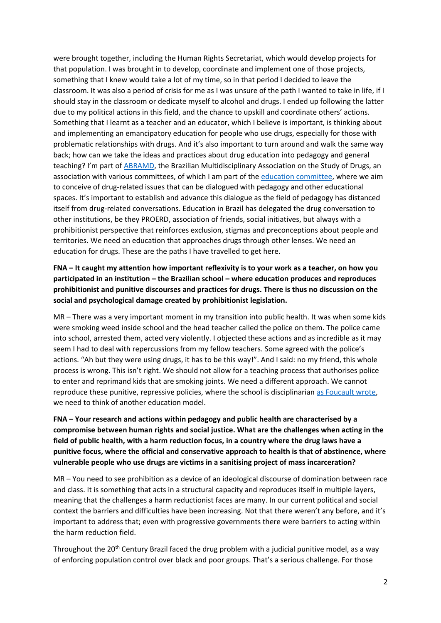were brought together, including the Human Rights Secretariat, which would develop projects for that population. I was brought in to develop, coordinate and implement one of those projects, something that I knew would take a lot of my time, so in that period I decided to leave the classroom. It was also a period of crisis for me as I was unsure of the path I wanted to take in life, if I should stay in the classroom or dedicate myself to alcohol and drugs. I ended up following the latter due to my political actions in this field, and the chance to upskill and coordinate others' actions. Something that I learnt as a teacher and an educator, which I believe is important, is thinking about and implementing an emancipatory education for people who use drugs, especially for those with problematic relationships with drugs. And it's also important to turn around and walk the same way back; how can we take the ideas and practices about drug education into pedagogy and general teaching? I'm part of [ABRAMD,](https://www.abramd.org/) the Brazilian Multidisciplinary Association on the Study of Drugs, an association with various committees, of which I am part of th[e education committee,](https://www.abramd.org/conteudo/view?ID_CONTEUDO=421) where we aim to conceive of drug-related issues that can be dialogued with pedagogy and other educational spaces. It's important to establish and advance this dialogue as the field of pedagogy has distanced itself from drug-related conversations. Education in Brazil has delegated the drug conversation to other institutions, be they PROERD, association of friends, social initiatives, but always with a prohibitionist perspective that reinforces exclusion, stigmas and preconceptions about people and territories. We need an education that approaches drugs through other lenses. We need an education for drugs. These are the paths I have travelled to get here.

**FNA – It caught my attention how important reflexivity is to your work as a teacher, on how you participated in an institution – the Brazilian school – where education produces and reproduces prohibitionist and punitive discourses and practices for drugs. There is thus no discussion on the social and psychological damage created by prohibitionist legislation.** 

MR – There was a very important moment in my transition into public health. It was when some kids were smoking weed inside school and the head teacher called the police on them. The police came into school, arrested them, acted very violently. I objected these actions and as incredible as it may seem I had to deal with repercussions from my fellow teachers. Some agreed with the police's actions. "Ah but they were using drugs, it has to be this way!". And I said: no my friend, this whole process is wrong. This isn't right. We should not allow for a teaching process that authorises police to enter and reprimand kids that are smoking joints. We need a different approach. We cannot reproduce these punitive, repressive policies, where the school is disciplinarian [as Foucault wrote,](https://www.saraiva.com.br/vigiar-e-punir-10329451/p) we need to think of another education model.

**FNA – Your research and actions within pedagogy and public health are characterised by a compromise between human rights and social justice. What are the challenges when acting in the field of public health, with a harm reduction focus, in a country where the drug laws have a punitive focus, where the official and conservative approach to health is that of abstinence, where vulnerable people who use drugs are victims in a sanitising project of mass incarceration?**

MR – You need to see prohibition as a device of an ideological discourse of domination between race and class. It is something that acts in a structural capacity and reproduces itself in multiple layers, meaning that the challenges a harm reductionist faces are many. In our current political and social context the barriers and difficulties have been increasing. Not that there weren't any before, and it's important to address that; even with progressive governments there were barriers to acting within the harm reduction field.

Throughout the 20<sup>th</sup> Century Brazil faced the drug problem with a judicial punitive model, as a way of enforcing population control over black and poor groups. That's a serious challenge. For those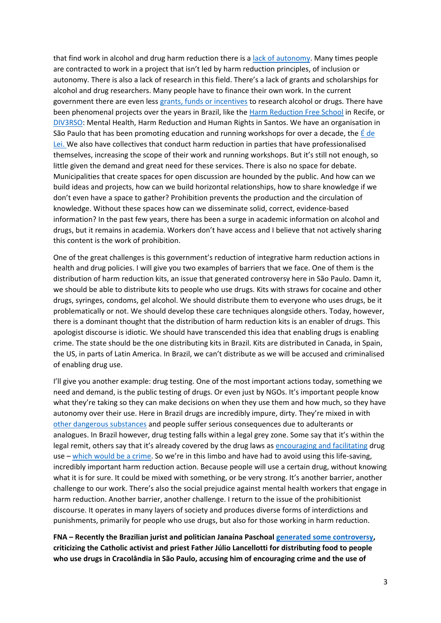that find work in alcohol and drug harm reduction there is a [lack of autonomy.](https://ponte.org/minha-demissao-do-recomeco-e-politica-diz-psicanalista-palhaco-da-cracolandia/) Many times people are contracted to work in a project that isn't led by harm reduction principles, of inclusion or autonomy. There is also a lack of research in this field. There's a lack of grants and scholarships for alcohol and drug researchers. Many people have to finance their own work. In the current government there are even less [grants, funds or incentives](https://agenciabrasil.ebc.com.br/economia/noticia/2021-04/desenvolvimento-regional-e-educacao-tem-maiores-cortes-no-orcamento) to research alcohol or drugs. There have been phenomenal projects over the years in Brazil, like the [Harm Reduction Free School](https://www.escolalivredereducaodedanos.org/) in Recife, or [DIV3RSO:](https://www.facebook.com/diV3rso/) Mental Health, Harm Reduction and Human Rights in Santos. We have an organisation in São Paulo that has been promoting education and running workshops for over a decade, the [É de](https://edelei.org/)  [Lei.](https://edelei.org/) We also have collectives that conduct harm reduction in parties that have professionalised themselves, increasing the scope of their work and running workshops. But it's still not enough, so little given the demand and great need for these services. There is also no space for debate. Municipalities that create spaces for open discussion are hounded by the public. And how can we build ideas and projects, how can we build horizontal relationships, how to share knowledge if we don't even have a space to gather? Prohibition prevents the production and the circulation of knowledge. Without these spaces how can we disseminate solid, correct, evidence-based information? In the past few years, there has been a surge in academic information on alcohol and drugs, but it remains in academia. Workers don't have access and I believe that not actively sharing this content is the work of prohibition.

One of the great challenges is this government's reduction of integrative harm reduction actions in health and drug policies. I will give you two examples of barriers that we face. One of them is the distribution of harm reduction kits, an issue that generated controversy here in São Paulo. Damn it, we should be able to distribute kits to people who use drugs. Kits with straws for cocaine and other drugs, syringes, condoms, gel alcohol. We should distribute them to everyone who uses drugs, be it problematically or not. We should develop these care techniques alongside others. Today, however, there is a dominant thought that the distribution of harm reduction kits is an enabler of drugs. This apologist discourse is idiotic. We should have transcended this idea that enabling drugs is enabling crime. The state should be the one distributing kits in Brazil. Kits are distributed in Canada, in Spain, the US, in parts of Latin America. In Brazil, we can't distribute as we will be accused and criminalised of enabling drug use.

I'll give you another example: drug testing. One of the most important actions today, something we need and demand, is the public testing of drugs. Or even just by NGOs. It's important people know what they're taking so they can make decisions on when they use them and how much, so they have autonomy over their use. Here in Brazil drugs are incredibly impure, dirty. They're mixed in with [other dangerous substances](https://pordentrodorn.com.br/2021/08/09/coca-zero-cocaina-traficada-no-ceara-e-tao-adulterada-que-nem-a-pericia-encontra-principio-da-droga-nos-testes/) and people suffer serious consequences due to adulterants or analogues. In Brazil however, drug testing falls within a legal grey zone. Some say that it's within the legal remit, others say that it's already covered by the drug laws as [encouraging and facilitating](http://www.planalto.gov.br/ccivil_03/_ato2004-2006/2006/lei/l11343.htm) drug use – [which would be a crime](https://www2.senado.leg.br/bdsf/bitstream/handle/id/529748/codigo_penal_1ed.pdf). So we're in this limbo and have had to avoid using this life-saving, incredibly important harm reduction action. Because people will use a certain drug, without knowing what it is for sure. It could be mixed with something, or be very strong. It's another barrier, another challenge to our work. There's also the social prejudice against mental health workers that engage in harm reduction. Another barrier, another challenge. I return to the issue of the prohibitionist discourse. It operates in many layers of society and produces diverse forms of interdictions and punishments, primarily for people who use drugs, but also for those working in harm reduction.

**FNA – Recently the Brazilian jurist and politician Janaína Paschoal [generated some controversy,](https://www1.folha.uol.com.br/cotidiano/2021/08/apos-polemica-com-janaina-paschoal-padre-julio-lancelotti-ve-subir-doacao-a-igreja.shtml) criticizing the Catholic activist and priest Father Júlio Lancellotti for distributing food to people who use drugs in Cracolândia in São Paulo, accusing him of encouraging crime and the use of**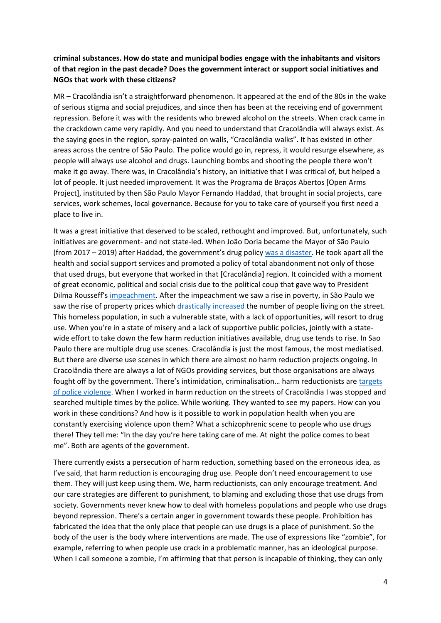## **criminal substances. How do state and municipal bodies engage with the inhabitants and visitors of that region in the past decade? Does the government interact or support social initiatives and NGOs that work with these citizens?**

MR – Cracolândia isn't a straightforward phenomenon. It appeared at the end of the 80s in the wake of serious stigma and social prejudices, and since then has been at the receiving end of government repression. Before it was with the residents who brewed alcohol on the streets. When crack came in the crackdown came very rapidly. And you need to understand that Cracolândia will always exist. As the saying goes in the region, spray-painted on walls, "Cracolândia walks". It has existed in other areas across the centre of São Paulo. The police would go in, repress, it would resurge elsewhere, as people will always use alcohol and drugs. Launching bombs and shooting the people there won't make it go away. There was, in Cracolândia's history, an initiative that I was critical of, but helped a lot of people. It just needed improvement. It was the Programa de Braços Abertos [Open Arms Project], instituted by then São Paulo Mayor Fernando Haddad, that brought in social projects, care services, work schemes, local governance. Because for you to take care of yourself you first need a place to live in.

It was a great initiative that deserved to be scaled, rethought and improved. But, unfortunately, such initiatives are government- and not state-led. When João Doria became the Mayor of São Paulo (from 2017 – 2019) after Haddad, the government's drug policy [was a disaster.](https://theintercept.com/2018/09/25/doria-cracolandia/) He took apart all the health and social support services and promoted a policy of total abandonment not only of those that used drugs, but everyone that worked in that [Cracolândia] region. It coincided with a moment of great economic, political and social crisis due to the political coup that gave way to President Dilma Rousseff's [impeachment.](https://www.brasildefato.com.br/2021/04/16/como-impeachment-gerou-desarranjo-institucional-e-escancarou-debilidade-democratica) After the impeachment we saw a rise in poverty, in São Paulo we saw the rise of property prices which [drastically increased](https://tab.uol.com.br/edicao/pelas-entranhas/) the number of people living on the street. This homeless population, in such a vulnerable state, with a lack of opportunities, will resort to drug use. When you're in a state of misery and a lack of supportive public policies, jointly with a statewide effort to take down the few harm reduction initiatives available, drug use tends to rise. In Sao Paulo there are multiple drug use scenes. Cracolândia is just the most famous, the most mediatised. But there are diverse use scenes in which there are almost no harm reduction projects ongoing. In Cracolândia there are always a lot of NGOs providing services, but those organisations are always fought off by the government. There's intimidation, criminalisation… harm reductionists are [targets](https://g1.globo.com/sp/sao-paulo/noticia/2021/04/06/novos-videos-mostram-pms-abordando-com-truculencia-voluntarios-de-ong-que-distribui-comida-na-cracolandia.ghtml)  [of police violence.](https://g1.globo.com/sp/sao-paulo/noticia/2021/04/06/novos-videos-mostram-pms-abordando-com-truculencia-voluntarios-de-ong-que-distribui-comida-na-cracolandia.ghtml) When I worked in harm reduction on the streets of Cracolândia I was stopped and searched multiple times by the police. While working. They wanted to see my papers. How can you work in these conditions? And how is it possible to work in population health when you are constantly exercising violence upon them? What a schizophrenic scene to people who use drugs there! They tell me: "In the day you're here taking care of me. At night the police comes to beat me". Both are agents of the government.

There currently exists a persecution of harm reduction, something based on the erroneous idea, as I've said, that harm reduction is encouraging drug use. People don't need encouragement to use them. They will just keep using them. We, harm reductionists, can only encourage treatment. And our care strategies are different to punishment, to blaming and excluding those that use drugs from society. Governments never knew how to deal with homeless populations and people who use drugs beyond repression. There's a certain anger in government towards these people. Prohibition has fabricated the idea that the only place that people can use drugs is a place of punishment. So the body of the user is the body where interventions are made. The use of expressions like "zombie", for example, referring to when people use crack in a problematic manner, has an ideological purpose. When I call someone a zombie, I'm affirming that that person is incapable of thinking, they can only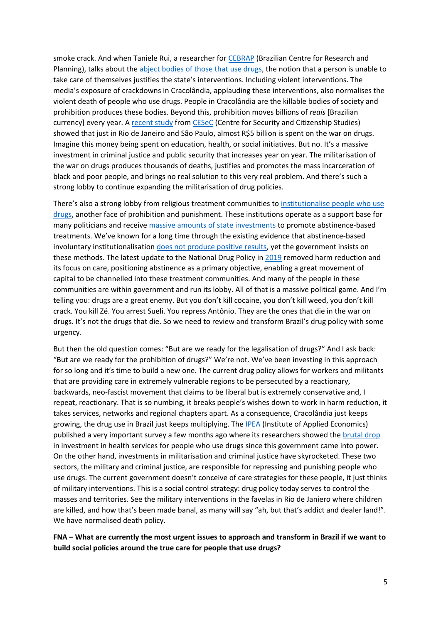smoke crack. And when Taniele Rui, a researcher for [CEBRAP](https://cebrap.org.br/institucional/) (Brazilian Centre for Research and Planning), talks about the [abject bodies of those that use drugs,](http://www.neip.info/downloads/Taniele_Rui_Tese.pdf) the notion that a person is unable to take care of themselves justifies the state's interventions. Including violent interventions. The media's exposure of crackdowns in Cracolândia, applauding these interventions, also normalises the violent death of people who use drugs. People in Cracolândia are the killable bodies of society and prohibition produces these bodies. Beyond this, prohibition moves billions of *reais* [Brazilian currency] every year. [A recent study](https://drogasquantocustaproibir.com.br/seguranca-e-justica/o-orcamento/) from [CESeC](https://cesecseguranca.com.br/) (Centre for Security and Citizenship Studies) showed that just in Rio de Janeiro and São Paulo, almost R\$5 billion is spent on the war on drugs. Imagine this money being spent on education, health, or social initiatives. But no. It's a massive investment in criminal justice and public security that increases year on year. The militarisation of the war on drugs produces thousands of deaths, justifies and promotes the mass incarceration of black and poor people, and brings no real solution to this very real problem. And there's such a strong lobby to continue expanding the militarisation of drug policies.

There's also a strong lobby from religious treatment communities to [institutionalise people who use](https://www.talkingdrugs.org/undp-brazil-condones-forced-abstinence-and-religious-pathologisation-of-people-who-use-drugs)  [drugs,](https://www.talkingdrugs.org/undp-brazil-condones-forced-abstinence-and-religious-pathologisation-of-people-who-use-drugs) another face of prohibition and punishment. These institutions operate as a support base for many politicians and receive [massive amounts of state investments](https://apublica.org/2020/07/entidades-cristas-receberam-quase-70-da-verba-federal-para-comunidades-terapeuticas-no-primeiro-ano-de-governo-bolsonaro/) to promote abstinence-based treatments. We've known for a long time through the existing evidence that abstinence-based involuntary institutionalisatio[n does not produce positive results,](https://filtermag.org/coerced-drug-treatment-harms/) yet the government insists on these methods. The latest update to the National Drug Policy in [2019](http://www.planalto.gov.br/ccivil_03/_ato2019-2022/2019/decreto/D9761.htm) removed harm reduction and its focus on care, positioning abstinence as a primary objective, enabling a great movement of capital to be channelled into these treatment communities. And many of the people in these communities are within government and run its lobby. All of that is a massive political game. And I'm telling you: drugs are a great enemy. But you don't kill cocaine, you don't kill weed, you don't kill crack. You kill Zé. You arrest Sueli. You repress Antônio. They are the ones that die in the war on drugs. It's not the drugs that die. So we need to review and transform Brazil's drug policy with some urgency.

But then the old question comes: "But are we ready for the legalisation of drugs?" And I ask back: "But are we ready for the prohibition of drugs?" We're not. We've been investing in this approach for so long and it's time to build a new one. The current drug policy allows for workers and militants that are providing care in extremely vulnerable regions to be persecuted by a reactionary, backwards, neo-fascist movement that claims to be liberal but is extremely conservative and, I repeat, reactionary. That is so numbing, it breaks people's wishes down to work in harm reduction, it takes services, networks and regional chapters apart. As a consequence, Cracolândia just keeps growing, the drug use in Brazil just keeps multiplying. The **IPEA** (Institute of Applied Economics) published a very important survey a few months ago where its researchers showed the [brutal drop](https://www.ipea.gov.br/portal/index.php?option=com_content&view=article&id=37958&Itemid=457) in investment in health services for people who use drugs since this government came into power. On the other hand, investments in militarisation and criminal justice have skyrocketed. These two sectors, the military and criminal justice, are responsible for repressing and punishing people who use drugs. The current government doesn't conceive of care strategies for these people, it just thinks of military interventions. This is a social control strategy: drug policy today serves to control the masses and territories. See the military interventions in the favelas in Rio de Janiero where children are killed, and how that's been made banal, as many will say "ah, but that's addict and dealer land!". We have normalised death policy.

**FNA – What are currently the most urgent issues to approach and transform in Brazil if we want to build social policies around the true care for people that use drugs?**